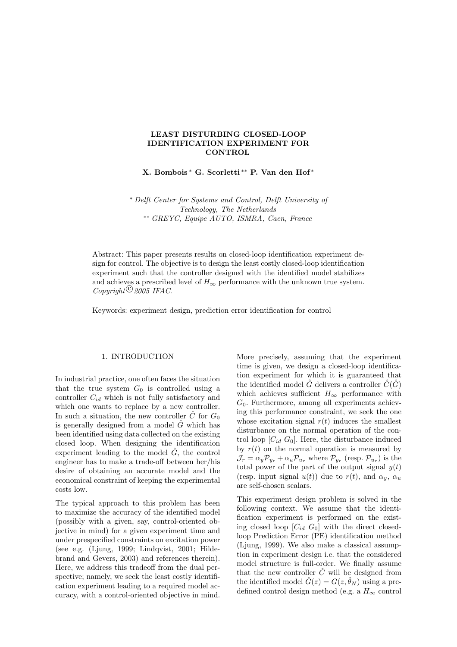# **LEAST DISTURBING CLOSED-LOOP IDENTIFICATION EXPERIMENT FOR CONTROL**

**X. Bombois** <sup>∗</sup> **G. Scorletti** ∗∗ **P. Van den Hof** <sup>∗</sup>

∗ *Delft Center for Systems and Control, Delft University of Technology, The Netherlands* ∗∗ *GREYC, Equipe AUTO, ISMRA, Caen, France*

Abstract: This paper presents results on closed-loop identification experiment design for control. The objective is to design the least costly closed-loop identification experiment such that the controller designed with the identified model stabilizes and achieves a prescribed level of  $H_{\infty}$  performance with the unknown true system.  $Convright\mathcal{L}$  *2005 IFAC*.

Keywords: experiment design, prediction error identification for control

### 1. INTRODUCTION

In industrial practice, one often faces the situation that the true system  $G_0$  is controlled using a controller  $C_{id}$  which is not fully satisfactory and which one wants to replace by a new controller. In such a situation, the new controller  $\hat{C}$  for  $G_0$ is generally designed from a model  $\hat{G}$  which has been identified using data collected on the existing closed loop. When designing the identification experiment leading to the model  $\hat{G}$ , the control engineer has to make a trade-off between her/his desire of obtaining an accurate model and the economical constraint of keeping the experimental costs low.

The typical approach to this problem has been to maximize the accuracy of the identified model (possibly with a given, say, control-oriented objective in mind) for a given experiment time and under prespecified constraints on excitation power (see e.g. (Ljung, 1999; Lindqvist, 2001; Hildebrand and Gevers, 2003) and references therein). Here, we address this tradeoff from the dual perspective; namely, we seek the least costly identification experiment leading to a required model accuracy, with a control-oriented objective in mind.

More precisely, assuming that the experiment time is given, we design a closed-loop identification experiment for which it is guaranteed that the identified model  $\hat{G}$  delivers a controller  $\hat{C}(\hat{G})$ which achieves sufficient  $H_{\infty}$  performance with  $G_0$ . Furthermore, among all experiments achieving this performance constraint, we seek the one whose excitation signal  $r(t)$  induces the smallest disturbance on the normal operation of the control loop  $[C_{id} G_0]$ . Here, the disturbance induced by  $r(t)$  on the normal operation is measured by  $\mathcal{J}_r = \alpha_y \mathcal{P}_{y_r} + \alpha_u \mathcal{P}_{u_r}$  where  $\mathcal{P}_{y_r}$  (resp.  $\mathcal{P}_{u_r}$ ) is the total power of the part of the output signal  $y(t)$ (resp. input signal  $u(t)$ ) due to  $r(t)$ , and  $\alpha_u$ ,  $\alpha_u$ are self-chosen scalars.

This experiment design problem is solved in the following context. We assume that the identification experiment is performed on the existing closed loop  $[C_{id} G_0]$  with the direct closedloop Prediction Error (PE) identification method (Ljung, 1999). We also make a classical assumption in experiment design i.e. that the considered model structure is full-order. We finally assume that the new controller  $\hat{C}$  will be designed from the identified model  $\hat{G}(z) = G(z, \hat{\theta}_N)$  using a predefined control design method (e.g. a  $H_{\infty}$  control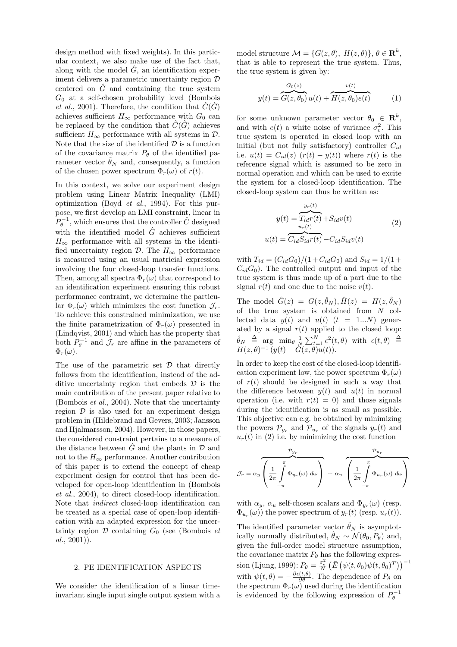design method with fixed weights). In this particular context, we also make use of the fact that, along with the model  $\hat{G}$ , an identification experiment delivers a parametric uncertainty region  $D$ centered on  $\hat{G}$  and containing the true system  $G_0$  at a self-chosen probability level (Bombois *et al.*, 2001). Therefore, the condition that  $\hat{C}(\hat{G})$ achieves sufficient  $H_{\infty}$  performance with  $G_0$  can be replaced by the condition that  $\hat{C}(\hat{G})$  achieves sufficient  $H_{\infty}$  performance with all systems in  $\mathcal{D}$ . Note that the size of the identified  $\mathcal D$  is a function of the covariance matrix  $P_{\theta}$  of the identified parameter vector  $\hat{\theta}_N$  and, consequently, a function of the chosen power spectrum  $\Phi_r(\omega)$  of  $r(t)$ .

In this context, we solve our experiment design problem using Linear Matrix Inequality (LMI) optimization (Boyd *et al.*, 1994). For this purpose, we first develop an LMI constraint, linear in  $P_{\theta}^{-1}$ , which ensures that the controller  $\hat{C}$  designed with the identified model  $\hat{G}$  achieves sufficient  $H_{\infty}$  performance with all systems in the identified uncertainty region  $\mathcal{D}$ . The  $H_{\infty}$  performance is measured using an usual matricial expression involving the four closed-loop transfer functions. Then, among all spectra  $\Phi_r(\omega)$  that correspond to an identification experiment ensuring this robust performance contraint, we determine the particular  $\Phi_r(\omega)$  which minimizes the cost function  $\mathcal{J}_r$ . To achieve this constrained minimization, we use the finite parametrization of  $\Phi_r(\omega)$  presented in (Lindqvist, 2001) and which has the property that both  $P_{\theta}^{-1}$  and  $\mathcal{J}_r$  are affine in the parameters of  $\Phi_r(\omega)$ .

The use of the parametric set  $\mathcal D$  that directly follows from the identification, instead of the additive uncertainty region that embeds  $\mathcal D$  is the main contribution of the present paper relative to (Bombois *et al.*, 2004). Note that the uncertainty region  $\mathcal D$  is also used for an experiment design problem in (Hildebrand and Gevers, 2003; Jansson and Hjalmarsson, 2004). However, in those papers, the considered constraint pertains to a measure of the distance between  $\hat{G}$  and the plants in  $\hat{D}$  and not to the  $H_{\infty}$  performance. Another contribution of this paper is to extend the concept of cheap experiment design for control that has been developed for open-loop identification in (Bombois *et al.*, 2004), to direct closed-loop identification. Note that *indirect* closed-loop identification can be treated as a special case of open-loop identification with an adapted expression for the uncertainty region D containing G<sup>0</sup> (see (Bombois *et al.*, 2001)).

## 2. PE IDENTIFICATION ASPECTS

We consider the identification of a linear timeinvariant single input single output system with a model structure  $\mathcal{M} = \{G(z, \theta), H(z, \theta)\}, \theta \in \mathbb{R}^k$ , that is able to represent the true system. Thus, the true system is given by:

$$
y(t) = \overbrace{G(z, \theta_0)}^{G_0(z)} u(t) + \overbrace{H(z, \theta_0)e(t)}^{v(t)}
$$
 (1)

for some unknown parameter vector  $\theta_0 \in \mathbb{R}^k$ , and with  $e(t)$  a white noise of variance  $\sigma_e^2$ . This true system is operated in closed loop with an initial (but not fully satisfactory) controller  $C_{id}$ i.e.  $u(t) = C_{id}(z)$   $(r(t) - y(t))$  where  $r(t)$  is the reference signal which is assumed to be zero in normal operation and which can be used to excite the system for a closed-loop identification. The closed-loop system can thus be written as:

$$
y(t) = \overbrace{T_{id}r(t)}^{y_r(t)} + S_{id}v(t)
$$
  
(t) = 
$$
\overbrace{C_{id}S_{id}r(t)}^{y_r(t)} - C_{id}S_{id}v(t)
$$
 (2)

with  $T_{id} = (C_{id}G_0)/(1+C_{id}G_0)$  and  $S_{id} = 1/(1+\frac{1}{2})$  $C_{id}G_0$ ). The controlled output and input of the true system is thus made up of a part due to the signal  $r(t)$  and one due to the noise  $v(t)$ .

 $\overline{u}$ 

The model  $\hat{G}(z) = G(z, \hat{\theta}_N), \hat{H}(z) = H(z, \hat{\theta}_N)$ of the true system is obtained from  $N$  collected data  $y(t)$  and  $u(t)$   $(t = 1...N)$  generated by a signal  $r(t)$  applied to the closed loop:  $\hat{\theta}_N \triangleq \arg \min_{\theta} \frac{1}{N} \sum_{t=1}^N \epsilon^2(t,\theta) \text{ with } \epsilon(t,\theta) \triangleq$  $H(z, \theta)^{-1} (y(t) - \tilde{G}(z, \theta)u(t)).$ 

In order to keep the cost of the closed-loop identification experiment low, the power spectrum  $\Phi_r(\omega)$ of  $r(t)$  should be designed in such a way that the difference between  $y(t)$  and  $u(t)$  in normal operation (i.e. with  $r(t) = 0$ ) and those signals during the identification is as small as possible. This objective can e.g. be obtained by minimizing the powers  $\mathcal{P}_{y_r}$  and  $\mathcal{P}_{u_r}$  of the signals  $y_r(t)$  and  $u_r(t)$  in (2) i.e. by minimizing the cost function

$$
\mathcal{J}_r = \alpha_y \left( \frac{1}{2\pi} \int_{-\pi}^{\pi} \Phi_{y_r}(\omega) \, d\omega \right) + \alpha_u \left( \frac{1}{2\pi} \int_{-\pi}^{\pi} \Phi_{u_r}(\omega) \, d\omega \right)
$$

with  $\alpha_y$ ,  $\alpha_u$  self-chosen scalars and  $\Phi_{y_x}(\omega)$  (resp.  $\Phi_{u_r}(\omega)$  the power spectrum of  $y_r(t)$  (resp.  $u_r(t)$ ).

The identified parameter vector  $\hat{\theta}_N$  is asymptotically normally distributed,  $\hat{\theta}_N \sim \mathcal{N}(\theta_0, P_\theta)$  and, given the full-order model structure assumption, the covariance matrix  $P_{\theta}$  has the following expression (Ljung, 1999):  $P_{\theta} = \frac{\sigma_e^2}{N} \left( \bar{E} \left( \psi(t, \theta_0) \psi(t, \theta_0)^T \right) \right)^{-1}$ with  $\psi(t,\theta) = -\frac{\partial \epsilon(t,\theta)}{\partial \theta}$ . The dependence of  $P_{\theta}$  on the spectrum  $\Phi_r(\omega)$  used during the identification is evidenced by the following expression of  $P_{\theta}^{-1}$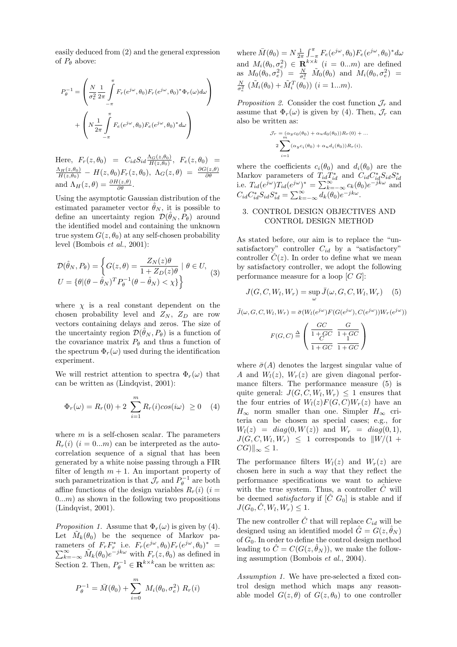easily deduced from (2) and the general expression of  $P_{\theta}$  above:

$$
P_{\theta}^{-1} = \left(\frac{N}{\sigma_e^2} \frac{1}{2\pi} \int_{-\pi}^{\pi} F_r(e^{j\omega}, \theta_0) F_r(e^{j\omega}, \theta_0)^* \Phi_r(\omega) d\omega \right) + \left(N \frac{1}{2\pi} \int_{-\pi}^{\pi} F_e(e^{j\omega}, \theta_0) F_e(e^{j\omega}, \theta_0)^* d\omega\right)
$$

Here,  $F_r(z, \theta_0) = C_{id} S_{id} \frac{\Lambda_G(z, \theta_0)}{H(z, \theta_0)}, F_e(z, \theta_0) =$  $\frac{\Lambda_H(z,\theta_0)}{H(z,\theta_0)}$  -  $H(z,\theta_0)F_r(z,\theta_0), \ \Lambda_G(z,\theta) = \frac{\partial G(z,\theta)}{\partial \theta}$ and  $\Lambda_H(z,\theta) = \frac{\partial H(z,\theta)}{\partial \theta}$ .

Using the asymptotic Gaussian distribution of the estimated parameter vector  $\hat{\theta}_N$ , it is possible to define an uncertainty region  $\mathcal{D}(\hat{\theta}_N, P_{\theta})$  around the identified model and containing the unknown true system  $G(z, \theta_0)$  at any self-chosen probability level (Bombois *et al.*, 2001):

$$
\mathcal{D}(\hat{\theta}_N, P_{\theta}) = \left\{ G(z, \theta) = \frac{Z_N(z)\theta}{1 + Z_D(z)\theta} \mid \theta \in U, \right\}
$$
  

$$
U = \left\{ \theta | (\theta - \hat{\theta}_N)^T P_{\theta}^{-1} (\theta - \hat{\theta}_N) < \chi \right\} \right\}
$$
 (3)

where  $\chi$  is a real constant dependent on the chosen probability level and  $Z_N$ ,  $Z_D$  are row vectors containing delays and zeros. The size of the uncertainty region  $\mathcal{D}(\hat{\theta}_N, P_\theta)$  is a function of the covariance matrix  $P_{\theta}$  and thus a function of the spectrum  $\Phi_r(\omega)$  used during the identification experiment.

We will restrict attention to spectra  $\Phi_r(\omega)$  that can be written as (Lindqvist, 2001):

$$
\Phi_r(\omega) = R_r(0) + 2 \sum_{i=1}^m R_r(i) \cos(i\omega) \ge 0 \quad (4)
$$

where  $m$  is a self-chosen scalar. The parameters  $R_r(i)$   $(i = 0...m)$  can be interpreted as the autocorrelation sequence of a signal that has been generated by a white noise passing through a FIR filter of length  $m + 1$ . An important property of such parametrization is that  $\mathcal{J}_r$  and  $P_{\theta}^{-1}$  are both affine functions of the design variables  $R_r(i)$  (i =  $(0...m)$  as shown in the following two propositions (Lindqvist, 2001).

*Proposition 1.* Assume that  $\Phi_r(\omega)$  is given by (4). Let  $\tilde{M}_k(\theta_0)$  be the sequence of Markov parameters of  $F_r F_r^*$  i.e.  $F_r(e^{j\omega}, \theta_0) F_r(e^{j\omega}, \theta_0)^* = \sum_{k=-\infty}^{\infty} \tilde{M}_k(\theta_0) e^{-j k\omega}$  with  $F_r(z, \theta_0)$  as defined in Section 2. Then,  $P_{\theta}^{-1} \in \mathbb{R}^{k \times k}$  can be written as:

$$
P_{\theta}^{-1} = \bar{M}(\theta_0) + \sum_{i=0}^{m} M_i(\theta_0, \sigma_e^2) R_r(i)
$$

where  $\bar{M}(\theta_0) = N \frac{1}{2\pi} \int_{\tau_0}^{\tau_0} F_e(e^{j\omega}, \theta_0) F_e(e^{j\omega}, \theta_0)^* d\omega$ and  $M_i(\theta_0, \sigma_e^2) \in \mathbf{R}^{k \times k}$  (*i* = 0...*m*) are defined as  $M_0(\theta_0, \sigma_e^2) = \frac{N}{\sigma_e^2} \widetilde{M}_0(\theta_0)$  and  $M_i(\theta_0, \sigma_e^2) =$  $\frac{N}{\sigma_e^2} (\tilde{M}_i(\theta_0) + \tilde{M}_i^T(\theta_0))$  (*i* = 1...*m*).

*Proposition 2.* Consider the cost function  $\mathcal{J}_r$  and assume that  $\Phi_r(\omega)$  is given by (4). Then,  $\mathcal{J}_r$  can also be written as:

$$
\mathcal{J}_r = \underset{m}{\overset{(a_y c_0 (\theta_0) + \alpha_u d_0(\theta_0))}{\sum}} R_r(0) + \dots
$$
  

$$
2 \underset{i=1}{\overset{(a_y c_i (\theta_0) + \alpha_u d_i(\theta_0))}{\sum}} R_r(i),
$$

where the coefficients  $c_i(\theta_0)$  and  $d_i(\theta_0)$  are the Markov parameters of  $T_{id}T_{id}^*$  and  $C_{id}C_{id}^*S_{id}^*S_{id}^*$ <br>i.e.  $T_{id}(e^{j\omega})T_{id}(e^{j\omega})^* = \sum_{k=-\infty}^{\infty} c_k(\theta_0)e^{-jk\omega}$  and  $C_{id} C_{id}^* S_{id} S_{id}^* = \sum_{k=-\infty}^{\infty} d_k(\theta_0) e^{-jk\omega}.$ 

## 3. CONTROL DESIGN OBJECTIVES AND CONTROL DESIGN METHOD

As stated before, our aim is to replace the "unsatisfactory" controller  $C_{id}$  by a "satisfactory" controller  $\hat{C}(z)$ . In order to define what we mean by satisfactory controller, we adopt the following performance measure for a loop  $[C\ G]$ :

$$
J(G, C, W_l, W_r) = \sup_{\omega} \bar{J}(\omega, G, C, W_l, W_r) \quad (5)
$$

$$
\bar{J}(\omega, G, C, W_l, W_r) = \bar{\sigma}(W_l(e^{j\omega})F(G(e^{j\omega}), C(e^{j\omega}))W_r(e^{j\omega}))
$$

$$
F(G,C) \stackrel{\Delta}{=} \left( \begin{array}{cc} \frac{GC}{1+GC} & \frac{G}{1+GC} \\ \frac{C}{1+GC} & \frac{1}{1+GC} \end{array} \right)
$$

where  $\bar{\sigma}(A)$  denotes the largest singular value of A and  $W_l(z)$ ,  $W_r(z)$  are given diagonal performance filters. The performance measure (5) is quite general:  $J(G, C, W_l, W_r) \leq 1$  ensures that the four entries of  $W_l(z)F(G, C)W_r(z)$  have an  $H_{\infty}$  norm smaller than one. Simpler  $H_{\infty}$  criteria can be chosen as special cases; e.g., for  $W_l(z) = diag(0, W(z))$  and  $W_r = diag(0, 1)$ ,  $J(G, C, W_l, W_r) \leq 1$  corresponds to  $||W/(1 +$  $|CG\rangle\|_{\infty} \leq 1.$ 

The performance filters  $W_l(z)$  and  $W_r(z)$  are chosen here in such a way that they reflect the performance specifications we want to achieve with the true system. Thus, a controller  $\hat{C}$  will be deemed *satisfactory* if  $[\tilde{C} \ G_0]$  is stable and if  $J(G_0, \hat{C}, W_l, W_r) \leq 1.$ 

The new controller  $\ddot{C}$  that will replace  $C_{id}$  will be designed using an identified model  $\tilde{G} = G(z, \tilde{\theta}_N)$ of  $G_0$ . In order to define the control design method leading to  $\hat{C} = C(G(z, \hat{\theta}_N))$ , we make the following assumption (Bombois *et al.*, 2004).

*Assumption 1.* We have pre-selected a fixed control design method which maps any reasonable model  $G(z, \theta)$  of  $G(z, \theta_0)$  to one controller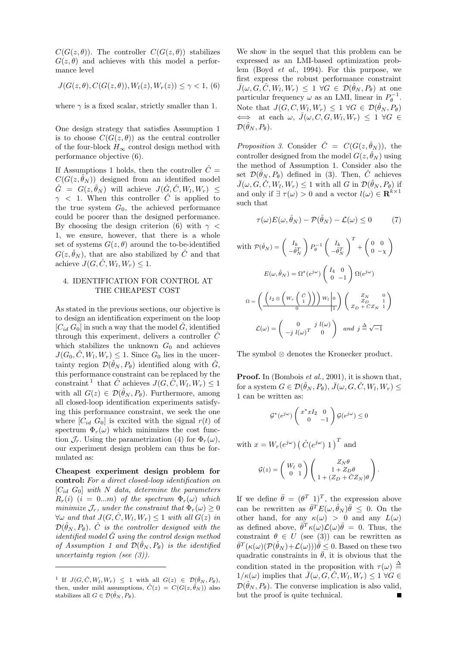$C(G(z, \theta))$ . The controller  $C(G(z, \theta))$  stabilizes  $G(z, \theta)$  and achieves with this model a performance level

$$
J(G(z, \theta), C(G(z, \theta)), W_l(z), W_r(z)) \le \gamma < 1, (6)
$$

where  $\gamma$  is a fixed scalar, strictly smaller than 1.

One design strategy that satisfies Assumption 1 is to choose  $C(G(z, \theta))$  as the central controller of the four-block  $H_{\infty}$  control design method with performance objective (6).

If Assumptions 1 holds, then the controller  $C =$  $C(G(z, \theta_N))$  designed from an identified model  $\hat{G} = G(z, \hat{\theta}_N)$  will achieve  $J(\hat{G}, \hat{C}, W_l, W_r) \leq$  $\gamma$  < 1. When this controller  $\hat{C}$  is applied to the true system  $G_0$ , the achieved performance could be poorer than the designed performance. By choosing the design criterion (6) with  $\gamma$  < 1, we ensure, however, that there is a whole set of systems  $G(z, \theta)$  around the to-be-identified  $G(z, \hat{\theta}_N)$ , that are also stabilized by  $\hat{C}$  and that achieve  $J(G, \tilde{C}, W_l, W_r) \leq 1$ .

# 4. IDENTIFICATION FOR CONTROL AT THE CHEAPEST COST

As stated in the previous sections, our objective is to design an identification experiment on the loop  $[C_{id} G_0]$  in such a way that the model  $\ddot{G}$ , identified through this experiment, delivers a controller  $\hat{C}$ which stabilizes the unknown  $G_0$  and achieves  $J(G_0, \hat{C}, W_l, W_r) \leq 1$ . Since  $G_0$  lies in the uncertainty region  $\mathcal{D}(\hat{\theta}_N, P_\theta)$  identified along with  $\hat{G}$ , this performance constraint can be replaced by the constraint <sup>1</sup> that  $\hat{C}$  achieves  $J(G, \hat{C}, W_l, W_r) \leq 1$ with all  $G(z) \in \mathcal{D}(\hat{\theta}_N, P_\theta)$ . Furthermore, among all closed-loop identification experiments satisfying this performance constraint, we seek the one where  $[C_{id}, G_0]$  is excited with the signal  $r(t)$  of spectrum  $\Phi_r(\omega)$  which minimizes the cost function  $\mathcal{J}_r$ . Using the parametrization (4) for  $\Phi_r(\omega)$ , our experiment design problem can thus be formulated as:

**Cheapest experiment design problem for control:** *For a direct closed-loop identification on* [Cid G0] *with* N *data, determine the parameters*  $R_r(i)$  (i = 0...m) of the spectrum  $\Phi_r(\omega)$  which *minimize*  $\mathcal{J}_r$ *, under the constraint that*  $\Phi_r(\omega) \geq 0$  $\forall \omega$  *and that*  $J(G, \hat{C}, W_l, W_r) \leq 1$  *with all*  $G(z)$  *in*  $\mathcal{D}(\hat{\theta}_N, P_{\theta})$ .  $\hat{C}$  *is the controller designed with the identified model*  $\hat{G}$  *using the control design method of Assumption 1 and*  $\mathcal{D}(\hat{\theta}_N, P_{\theta})$  *is the identified uncertainty region (see (3)).*

We show in the sequel that this problem can be expressed as an LMI-based optimization problem (Boyd *et al.*, 1994). For this purpose, we first express the robust performance constraint  $\bar{J}(\omega, G, \hat{C}, W_l, W_r) \leq 1 \ \forall G \in \mathcal{D}(\hat{\theta}_N, P_\theta)$  at one particular frequency  $\omega$  as an LMI, linear in  $P_{\theta}^{-1}$ . Note that  $J(G, C, W_l, W_r) \leq 1 \ \forall G \in \mathcal{D}(\hat{\theta}_N, P_{\theta})$  $\iff$  at each  $\omega$ ,  $\bar{J}(\omega, C, G, W_l, W_r) \leq 1 \; \forall G \in$  $\mathcal{D}(\hat{\theta}_N, P_\theta)$ .

*Proposition 3.* Consider  $\hat{C} = C(G(z, \hat{\theta}_N))$ , the controller designed from the model  $G(z, \hat{\theta}_N)$  using the method of Assumption 1. Consider also the set  $\mathcal{D}(\hat{\theta}_N, P_{\theta})$  defined in (3). Then,  $\hat{C}$  achieves  $\bar{J}(\omega, G, \hat{C}, W_l, W_r) \leq 1$  with all G in  $\mathcal{D}(\hat{\theta}_N, P_\theta)$  if and only if  $\exists \tau(\omega) > 0$  and a vector  $l(\omega) \in \mathbb{R}^{k \times 1}$ such that

$$
\tau(\omega)E(\omega,\hat{\theta}_N) - \mathcal{P}(\hat{\theta}_N) - \mathcal{L}(\omega) \le 0 \tag{7}
$$

with 
$$
\mathcal{P}(\hat{\theta}_N) = \begin{pmatrix} I_k \\ -\hat{\theta}_N^T \end{pmatrix} P_\theta^{-1} \begin{pmatrix} I_k \\ -\hat{\theta}_N^T \end{pmatrix}^T + \begin{pmatrix} 0 & 0 \\ 0 & -\chi \end{pmatrix}
$$
  
\n
$$
E(\omega, \hat{\theta}_N) = \Omega^*(e^{j\omega}) \begin{pmatrix} I_4 & 0 \\ 0 & -1 \end{pmatrix} \Omega(e^{j\omega})
$$
\n
$$
\Omega = \left( \frac{\begin{pmatrix} I_2 \otimes \left( W_r \begin{pmatrix} \hat{C} \\ 1 \end{pmatrix} \right) \right) W_l \begin{pmatrix} 0 \\ 0 \end{pmatrix}}{\begin{pmatrix} Z_N & 0 \\ Z_D + \hat{C} Z_N & 1 \end{pmatrix}}
$$
\n
$$
\mathcal{L}(\omega) = \begin{pmatrix} 0 & j \ l(\omega)^T & 0 \end{pmatrix} \quad \text{and} \quad j \stackrel{\Delta}{=} \sqrt{-1}
$$

The symbol ⊗ denotes the Kronecker product.

**Proof.** In (Bombois *et al.*, 2001), it is shown that, for a system  $G \in \mathcal{D}(\hat{\theta}_N, P_\theta), \bar{J}(\omega, G, \hat{C}, W_l, W_r) \leq$ 1 can be written as:

$$
\mathcal{G}^*(e^{j\omega})\left(\begin{array}{cc} x^*xI_2 & 0 \\ 0 & -1 \end{array}\right)\mathcal{G}(e^{j\omega}) \leq 0
$$

with  $x = W_r(e^{j\omega}) \left(\hat{C}(e^{j\omega}) \; 1\right)^T$  and

$$
G(z) = \begin{pmatrix} W_l & 0 \\ 0 & 1 \end{pmatrix} \begin{pmatrix} Z_N \theta \\ 1 + Z_D \theta \\ 1 + (Z_D + \hat{C}Z_N) \theta \end{pmatrix}.
$$

If we define  $\bar{\theta} = (\theta^T \ 1)^T$ , the expression above can be rewritten as  $\bar{\theta}^T E(\omega, \hat{\theta}_N) \bar{\theta} \leq 0$ . On the other hand, for any  $\kappa(\omega) > 0$  and any  $L(\omega)$ as defined above,  $\bar{\theta}^T \kappa(\omega) \mathcal{L}(\omega) \bar{\theta} = 0$ . Thus, the constraint  $\theta \in U$  (see (3)) can be rewritten as  $\bar{\theta}^T(\kappa(\omega)(\mathcal{P}(\hat{\theta}_N)+\mathcal{L}(\omega)))\bar{\theta}\leq 0.$  Based on these two quadratic constraints in  $\bar{\theta}$ , it is obvious that the condition stated in the proposition with  $\tau(\omega) \triangleq$  $1/\kappa(\omega)$  implies that  $\bar{J}(\omega, G, \hat{C}, W_l, W_r) \leq 1 \; \forall G \in$  $\mathcal{D}(\hat{\theta}_N, P_{\theta})$ . The converse implication is also valid, but the proof is quite technical.

<sup>&</sup>lt;sup>1</sup> If  $J(G, \hat{C}, W_l, W_r) \leq 1$  with all  $G(z) \in \mathcal{D}(\hat{\theta}_N, P_{\theta}),$ then, under mild assumptions,  $\hat{C}(z) = C(G(z, \hat{\theta}_N))$  also stabilizes all  $G \in \mathcal{D}(\hat{\theta}_N, P_{\theta}).$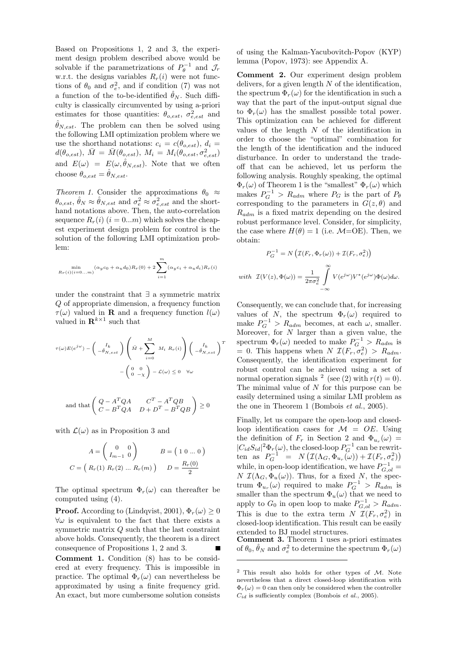Based on Propositions 1, 2 and 3, the experiment design problem described above would be solvable if the parametrizations of  $P_{\theta}^{-1}$  and  $\mathcal{J}_r$ w.r.t. the designs variables  $R_r(i)$  were not functions of  $\theta_0$  and  $\sigma_e^2$ , and if condition (7) was not a function of the to-be-identified  $\hat{\theta}_N$ . Such difficulty is classically circumvented by using a-priori estimates for those quantities:  $\theta_{o,est}$ ,  $\sigma_{e,est}^2$  and  $\ddot{\theta}_{N,est}$ . The problem can then be solved using the following LMI optimization problem where we use the shorthand notations:  $c_i = c(\theta_{o,est})$ ,  $d_i =$  $d(\theta_{o,est}), \ \bar{M} = \bar{M}(\theta_{o,est}), \ M_i = M_i(\theta_{o,est}, \sigma_{e,est}^2)$ and  $E(\omega) = E(\omega, \hat{\theta}_{N,est})$ . Note that we often choose  $\theta_{o,est} = \hat{\theta}_{N,est}$ .

*Theorem 1.* Consider the approximations  $\theta_0 \approx$  $\theta_{o,est}, \hat{\theta}_N \approx \hat{\theta}_{N,est}$  and  $\sigma_e^2 \approx \sigma_{e,est}^2$  and the shorthand notations above. Then, the auto-correlation sequence  $R_r(i)$   $(i = 0...m)$  which solves the cheapest experiment design problem for control is the solution of the following LMI optimization problem:

$$
\min_{R_r(i)(i=0...m)} (\alpha_y c_0 + \alpha_u d_0) R_r(0) + 2 \sum_{i=1}^m (\alpha_y c_i + \alpha_u d_i) R_r(i)
$$

under the constraint that ∃ a symmetric matrix Q of appropriate dimension, a frequency function  $\tau(\omega)$  valued in **R** and a frequency function  $l(\omega)$ valued in  $\mathbf{R}^{k\times1}$  such that

$$
\tau(\omega)E(e^{j\omega}) - \left(\begin{array}{c}I_k\\-\hat{\theta}_{N,est}\end{array}\right)\left(\bar{M} + \sum_{i=0}^M M_i R_r(i)\right)\left(\begin{array}{c}I_k\\-\hat{\theta}_{N,est}\end{array}\right)^T
$$

$$
-\left(\begin{array}{cc}0&0\\0&-\chi\end{array}\right) - \mathcal{L}(\omega) \le 0 \quad \forall \omega
$$

and that 
$$
\begin{pmatrix} Q - A^T Q A & C^T - A^T Q B \\ C - B^T Q A & D + D^T - B^T Q B \end{pmatrix} \ge 0
$$

with  $\mathcal{L}(\omega)$  as in Proposition 3 and

$$
A = \begin{pmatrix} 0 & 0 \\ I_{m-1} & 0 \end{pmatrix} \qquad B = \begin{pmatrix} 1 & 0 \dots 0 \end{pmatrix}
$$

$$
C = \begin{pmatrix} R_r(1) & R_r(2) & \dots & R_r(m) \end{pmatrix} \qquad D = \frac{R_r(0)}{2}
$$

The optimal spectrum  $\Phi_r(\omega)$  can thereafter be computed using (4).

**Proof.** According to (Lindqvist, 2001),  $\Phi_r(\omega) > 0$  $\forall \omega$  is equivalent to the fact that there exists a symmetric matrix Q such that the last constraint above holds. Consequently, the theorem is a direct consequence of Propositions 1, 2 and 3.

**Comment 1.** Condition (8) has to be considered at every frequency. This is impossible in practice. The optimal  $\Phi_r(\omega)$  can nevertheless be approximated by using a finite frequency grid. An exact, but more cumbersome solution consists of using the Kalman-Yacubovitch-Popov (KYP) lemma (Popov, 1973): see Appendix A.

**Comment 2.** Our experiment design problem delivers, for a given length  $N$  of the identification, the spectrum  $\Phi_r(\omega)$  for the identification in such a way that the part of the input-output signal due to  $\Phi_r(\omega)$  has the smallest possible total power. This optimization can be achieved for different values of the length  $N$  of the identification in order to choose the "optimal" combination for the length of the identification and the induced disturbance. In order to understand the tradeoff that can be achieved, let us perform the following analysis. Roughly speaking, the optimal  $\Phi_r(\omega)$  of Theorem 1 is the "smallest"  $\Phi_r(\omega)$  which makes  $P_G^{-1} > R_{adm}$  where  $P_G$  is the part of  $P_{\theta}$ corresponding to the parameters in  $G(z, \theta)$  and  $R_{adm}$  is a fixed matrix depending on the desired robust performance level. Consider, for simplicity, the case where  $H(\theta) = 1$  (i.e.  $\mathcal{M} = \text{OE}$ ). Then, we obtain:

$$
P_G^{-1} = N\left(\mathcal{I}(F_r, \Phi_r(\omega)) + \mathcal{I}(F_r, \sigma_e^2)\right)
$$
  
with 
$$
\mathcal{I}(V(z), \Phi(\omega)) = \frac{1}{2\pi\sigma_e^2} \int_{-\infty}^{\infty} V(e^{j\omega}) V^*(e^{j\omega}) \Phi(\omega) d\omega.
$$

Consequently, we can conclude that, for increasing values of N, the spectrum  $\Phi_r(\omega)$  required to make  $P_G^{-1} > R_{adm}$  becomes, at each  $\omega$ , smaller. Moreover, for N larger than a given value, the spectrum  $\Phi_r(\omega)$  needed to make  $P_G^{-1} > R_{adm}$  is  $= 0$ . This happens when  $N \mathcal{I}(F_r, \sigma_e^2) > R_{adm}$ . Consequently, the identification experiment for robust control can be achieved using a set of normal operation signals <sup>2</sup> (see (2) with  $r(t) = 0$ ). The minimal value of N for this purpose can be easily determined using a similar LMI problem as the one in Theorem 1 (Bombois *et al.*, 2005).

Finally, let us compare the open-loop and closedloop identification cases for  $\mathcal{M} = OE$ . Using the definition of  $F_r$  in Section 2 and  $\Phi_{u_r}(\omega)$  =  $|C_{id}S_{id}|^2 \Phi_r(\omega)$ , the closed-loop  $P_G^{-1}$  can be rewritten as  $P_G^{-1} = N(\mathcal{I}(\Lambda_G, \Phi_{u_r}(\omega)) + \mathcal{I}(F_r, \sigma_e^2))$ while, in open-loop identification, we have  $P_{G,ol}^{-1}$  =  $N \mathcal{I}(\Lambda_G, \Phi_u(\omega))$ . Thus, for a fixed N, the spectrum  $\Phi_{u_r}(\omega)$  required to make  $P_G^{-1} > R_{adm}$  is smaller than the spectrum  $\Phi_u(\omega)$  that we need to apply to  $G_0$  in open loop to make  $P_{G,ol}^{-1} > R_{adm}$ . This is due to the extra term  $N \mathcal{I}(F_r, \sigma_e^2)$  in closed-loop identification. This result can be easily extended to BJ model structures.

**Comment 3.** Theorem 1 uses a-priori estimates of  $\theta_0$ ,  $\hat{\theta}_N$  and  $\sigma_e^2$  to determine the spectrum  $\Phi_r(\omega)$ 

 $2$  This result also holds for other types of M. Note nevertheless that a direct closed-loop identification with  $\Phi_r(\omega) = 0$  can then only be considered when the controller  $C_{id}$  is sufficiently complex (Bombois *et al.*, 2005).